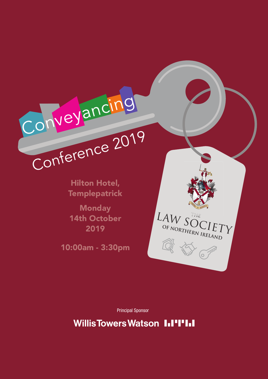

Hilton Hotel, **Templepatrick** 

**Monday** 14th October 2019

10:00am - 3:30pm



Principal Sponsor

**Willis Towers Watson III'I'III**